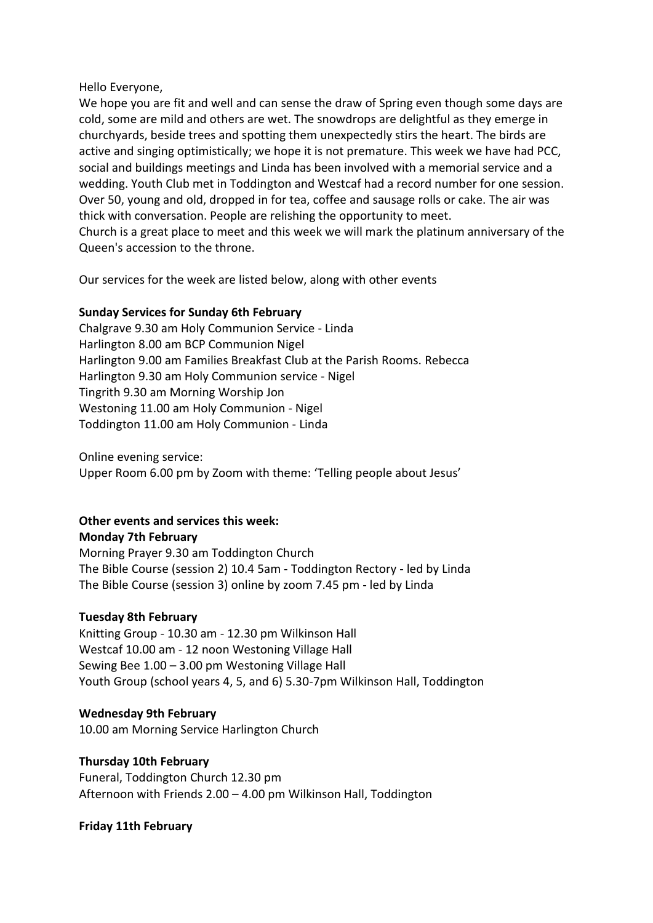Hello Everyone,

We hope you are fit and well and can sense the draw of Spring even though some days are cold, some are mild and others are wet. The snowdrops are delightful as they emerge in churchyards, beside trees and spotting them unexpectedly stirs the heart. The birds are active and singing optimistically; we hope it is not premature. This week we have had PCC, social and buildings meetings and Linda has been involved with a memorial service and a wedding. Youth Club met in Toddington and Westcaf had a record number for one session. Over 50, young and old, dropped in for tea, coffee and sausage rolls or cake. The air was thick with conversation. People are relishing the opportunity to meet. Church is a great place to meet and this week we will mark the platinum anniversary of the Queen's accession to the throne.

Our services for the week are listed below, along with other events

## **Sunday Services for Sunday 6th February**

Chalgrave 9.30 am Holy Communion Service - Linda Harlington 8.00 am BCP Communion Nigel Harlington 9.00 am Families Breakfast Club at the Parish Rooms. Rebecca Harlington 9.30 am Holy Communion service - Nigel Tingrith 9.30 am Morning Worship Jon Westoning 11.00 am Holy Communion - Nigel Toddington 11.00 am Holy Communion - Linda

Online evening service:

Upper Room 6.00 pm by Zoom with theme: 'Telling people about Jesus'

# **Other events and services this week:**

**Monday 7th February** Morning Prayer 9.30 am Toddington Church The Bible Course (session 2) 10.4 5am - Toddington Rectory - led by Linda The Bible Course (session 3) online by zoom 7.45 pm - led by Linda

## **Tuesday 8th February**

Knitting Group - 10.30 am - 12.30 pm Wilkinson Hall Westcaf 10.00 am - 12 noon Westoning Village Hall Sewing Bee 1.00 – 3.00 pm Westoning Village Hall Youth Group (school years 4, 5, and 6) 5.30-7pm Wilkinson Hall, Toddington

#### **Wednesday 9th February**

10.00 am Morning Service Harlington Church

#### **Thursday 10th February**

Funeral, Toddington Church 12.30 pm Afternoon with Friends 2.00 – 4.00 pm Wilkinson Hall, Toddington

#### **Friday 11th February**